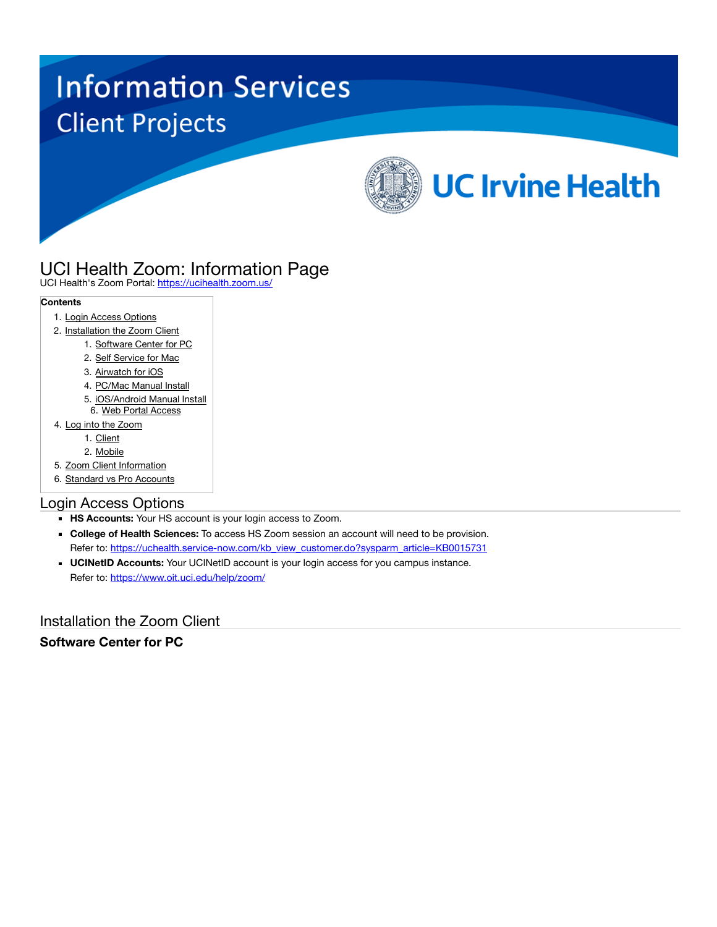# **Information Services Client Projects**



# UCI Health Zoom: Information Page

UCI Health's Zoom Portal: <https://ucihealth.zoom.us/>

#### **Contents**

- 1. Login Access Options
- 2. Installation the Zoom Client
	- 1. Software Center for PC
	- 2. Self Service for Mac
	- 3. Airwatch for iOS
	- 4. PC/Mac Manual Install
	- 5. iOS/Android Manual Install 6. Web Portal Access
- 4. Log into the Zoom
	- 1. Client
	- 2. Mobile
- 5. Zoom Client Information
- 6. Standard vs Pro Accounts

# Login Access Options

- **HS Accounts:** Your HS account is your login access to Zoom.
- **College of Health Sciences:** To access HS Zoom session an account will need to be provision. Refer to: [https://uchealth.service-now.com/kb\\_view\\_customer.do?sysparm\\_article=KB0015731](https://uchealth.service-now.com/kb_view_customer.do?sysparm_article=KB0015731)
- **UCINetID Accounts:** Your UCINetID account is your login access for you campus instance. Refer to:<https://www.oit.uci.edu/help/zoom/>

Installation the Zoom Client

# **Software Center for PC**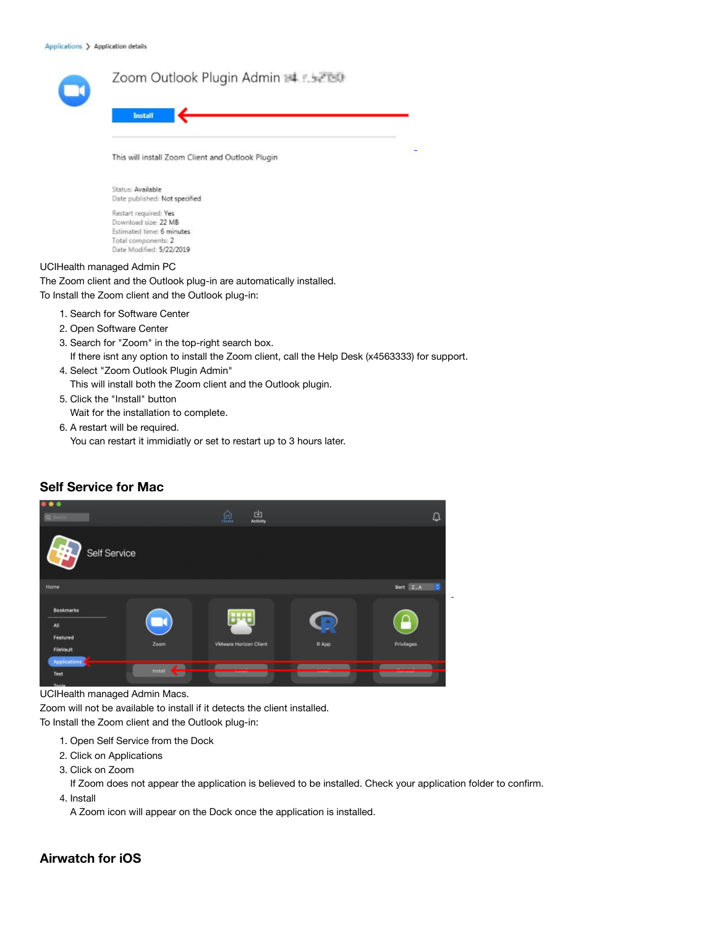| Zoom Outlook Plugin Admin # F. FEB0<br><b>Install</b>                                                                                                     |  |  |  |  |  |
|-----------------------------------------------------------------------------------------------------------------------------------------------------------|--|--|--|--|--|
| This will install Zoom Client and Outlook Plugin                                                                                                          |  |  |  |  |  |
| Status: Available<br>Date published: Not specified                                                                                                        |  |  |  |  |  |
| Restart required: Yes<br>Download size: 22 MB<br>Estimated time: 6 minutes<br>Total components: 2<br>Date Modified: 5/22/2019                             |  |  |  |  |  |
| UCIHealth managed Admin PC<br>The Zoom client and the Outlook plug-in are automatically installed.<br>To Install the Zoom client and the Outlook plug-in: |  |  |  |  |  |
| 1. Search for Software Center                                                                                                                             |  |  |  |  |  |

- 2. Open Software Center
- 3. Search for "Zoom" in the top-right search box. If there isnt any option to install the Zoom client, call the Help Desk (x4563333) for support.
- 4. Select "Zoom Outlook Plugin Admin" This will install both the Zoom client and the Outlook plugin.
- 5. Click the "Install" button Wait for the installation to complete.
- 6. A restart will be required. You can restart it immidiatly or set to restart up to 3 hours later.

#### **Self Service for Mac**



#### UCIHealth managed Admin Macs.

Zoom will not be available to install if it detects the client installed.

To Install the Zoom client and the Outlook plug-in:

- 1. Open Self Service from the Dock
- 2. Click on Applications
- 3. Click on Zoom

If Zoom does not appear the application is believed to be installed. Check your application folder to confirm.

4. Install

A Zoom icon will appear on the Dock once the application is installed.

#### **Airwatch for iOS**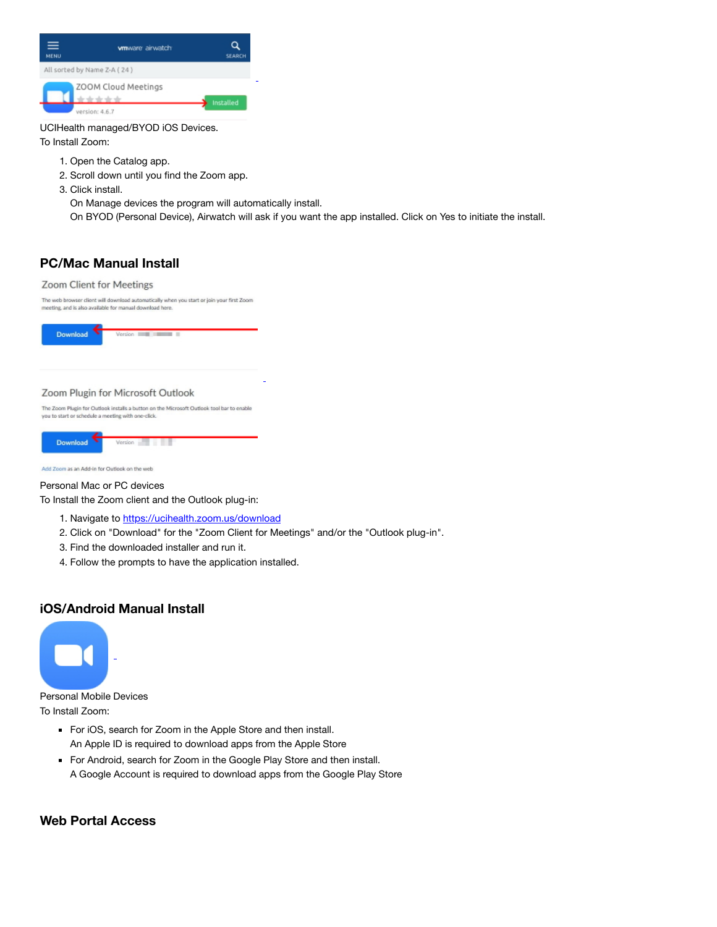| ≡<br><b>MENU</b> | wmware airwatch             | <b>SEARCH</b> |
|------------------|-----------------------------|---------------|
|                  | All sorted by Name Z-A (24) |               |
|                  | ZOOM Cloud Meetings         | Installed     |
|                  | version: 4.6.7              |               |

UCIHealth managed/BYOD iOS Devices.

To Install Zoom:

- 1. Open the Catalog app.
- 2. Scroll down until you find the Zoom app.
- 3. Click install.

On Manage devices the program will automatically install.

On BYOD (Personal Device), Airwatch will ask if you want the app installed. Click on Yes to initiate the install.

# **PC/Mac Manual Install**

#### Zoom Client for Meetings

The web browser client will download automatically when you start or join your first Zoom meeting, and is also available for manual download here.



#### Zoom Plugin for Microsoft Outlook

The Zoom Plugin for Outlook installs a button on the Microsoft Outlook tool bar to enable you to start or schedule a meeting with one-click.

| Download | Version |
|----------|---------|
|          |         |

Add Zoom as an Add-in for Outlook on the web

#### Personal Mac or PC devices

To Install the Zoom client and the Outlook plug-in:

- 1. Navigate to <https://ucihealth.zoom.us/download>
- 2. Click on "Download" for the "Zoom Client for Meetings" and/or the "Outlook plug-in".
- 3. Find the downloaded installer and run it.
- 4. Follow the prompts to have the application installed.

# **iOS/Android Manual Install**



Personal Mobile Devices To Install Zoom:

- For iOS, search for Zoom in the Apple Store and then install. An Apple ID is required to download apps from the Apple Store
- For Android, search for Zoom in the Google Play Store and then install. A Google Account is required to download apps from the Google Play Store

# **Web Portal Access**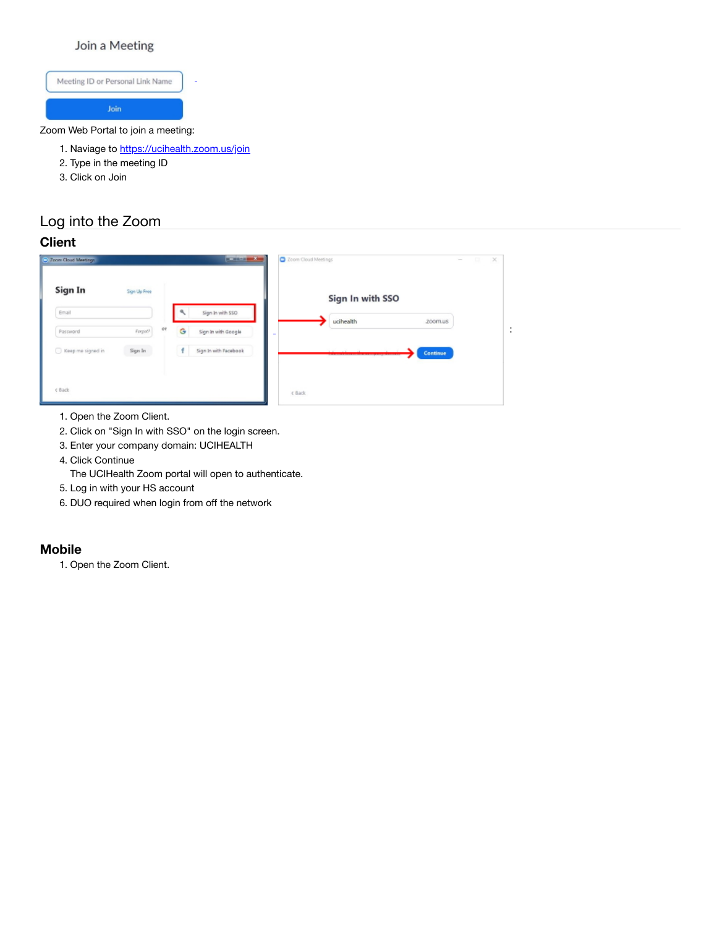## Join a Meeting



- 1. Naviage to <https://ucihealth.zoom.us/join>
- 2. Type in the meeting ID
- 3. Click on Join

# Log into the Zoom

#### **Client**

| Sign In             | Sign Up Free |         |                       | Sign In with SSO |          |
|---------------------|--------------|---------|-----------------------|------------------|----------|
| Email               |              |         | Sign In with SSO      | ucihealth        | zoom.us  |
| Password            | Forgot?      | or<br>G | Sign In with Google   | $\equiv$         |          |
| □ Keep me signed in | Sign In      | f       | Sign In with Facebook |                  | Continue |

- 1. Open the Zoom Client.
- 2. Click on "Sign In with SSO" on the login screen.
- 3. Enter your company domain: UCIHEALTH
- 4. Click Continue
- The UCIHealth Zoom portal will open to authenticate.
- 5. Log in with your HS account
- 6. DUO required when login from off the network

#### **Mobile**

1. Open the Zoom Client.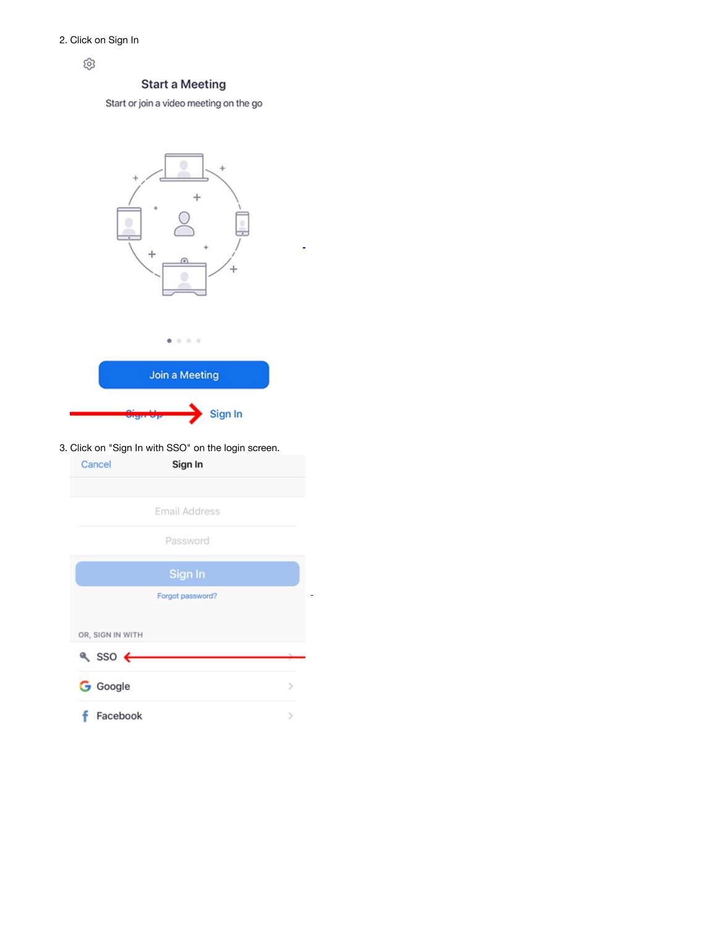හි

## **Start a Meeting**

Start or join a video meeting on the go

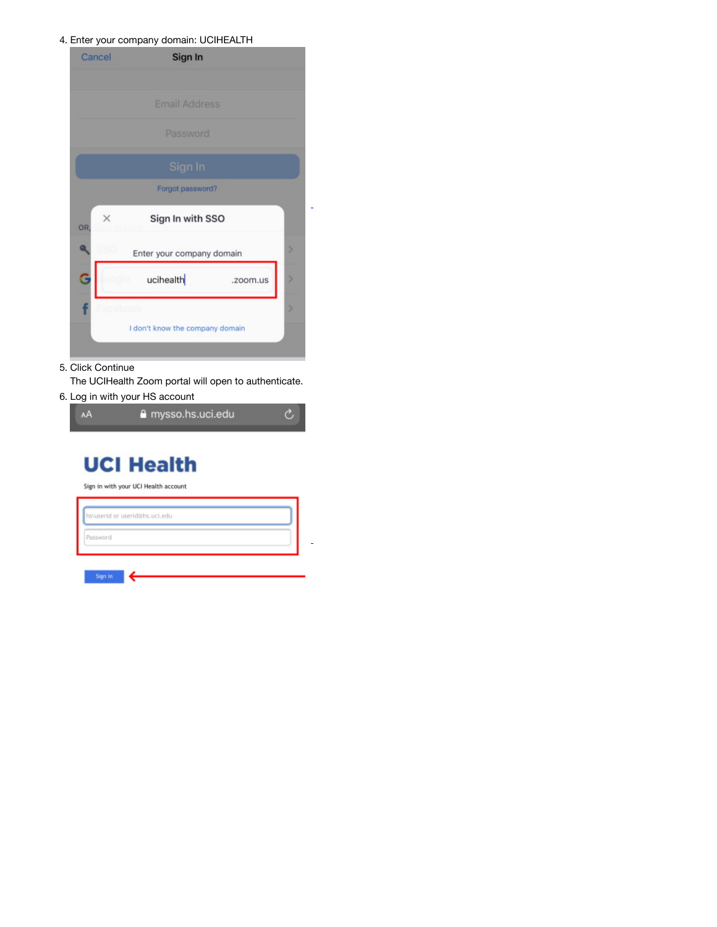#### 4. Enter your company domain: UCIHEALTH

| Cancel         | Sign In                         |   |
|----------------|---------------------------------|---|
|                |                                 |   |
|                | <b>Email Address</b>            |   |
|                | Password                        |   |
|                | Sign In                         |   |
|                | Forgot password?                |   |
| $\times$<br>OR | Sign In with SSO                |   |
|                | Enter your company domain       | S |
|                | ucihealth<br>.zoom.us           |   |
|                |                                 | b |
|                | I don't know the company domain |   |

5. Click Continue

The UCIHealth Zoom portal will open to authenticate.

6. Log in with your HS account



# **UCI Health**

Sign in with your UCI Health account

| hs\userid or userid@hs.uci.edu |  |  |  |
|--------------------------------|--|--|--|
| Password                       |  |  |  |
|                                |  |  |  |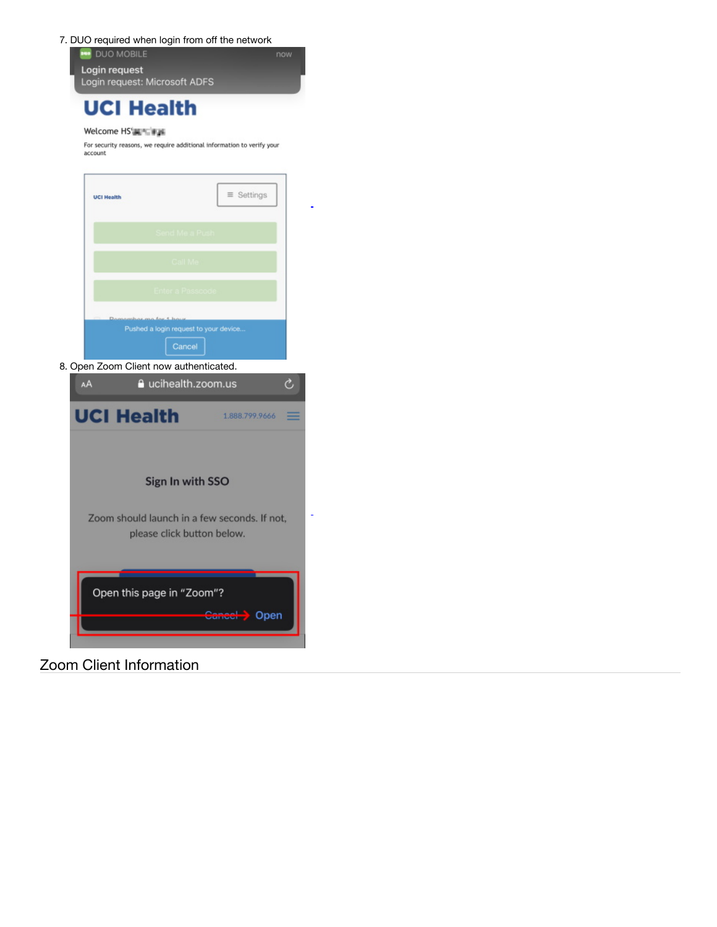

# **UCI Health**

#### Welcome HS's Taiwas

For security reasons, we require additional information to verify your<br>account

|    | <b>UCI Health</b>                                                          |                   | $\equiv$ Settings |   |
|----|----------------------------------------------------------------------------|-------------------|-------------------|---|
|    |                                                                            |                   |                   |   |
|    |                                                                            |                   |                   |   |
|    |                                                                            |                   |                   |   |
|    | Pushed a login request to your device                                      | Cancel            |                   |   |
|    | 8. Open Zoom Client now authenticated.                                     |                   |                   |   |
| AA |                                                                            | ucihealth.zoom.us |                   | Ò |
|    | <b>UCI Health</b>                                                          |                   | 1.888.799.9666    |   |
|    |                                                                            | Sign In with SSO  |                   |   |
|    | Zoom should launch in a few seconds. If not,<br>please click button below. |                   |                   |   |
|    | Open this page in "Zoom"?                                                  |                   | Open              |   |

# Zoom Client Information